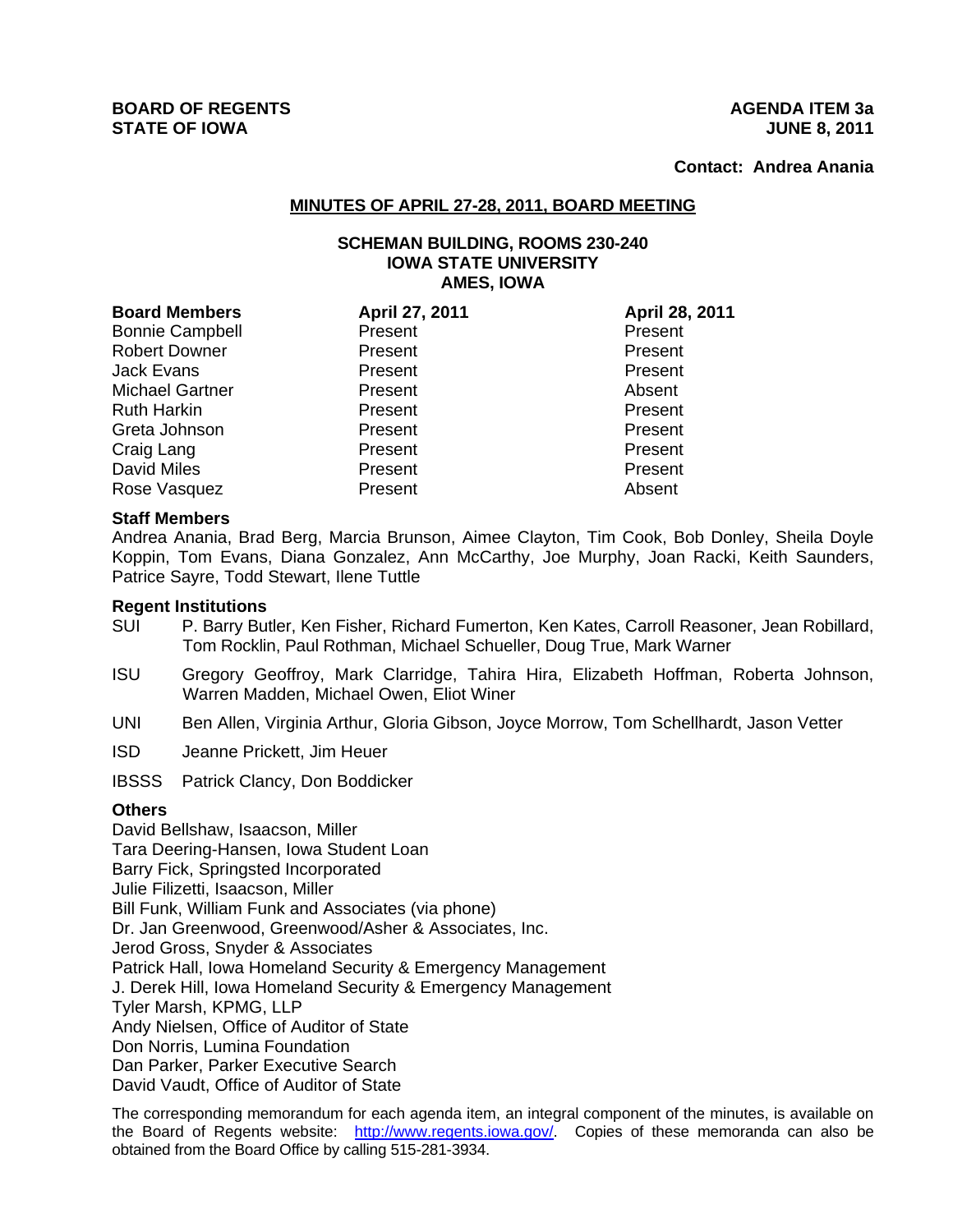**Contact: Andrea Anania**

# **MINUTES OF APRIL 27-28, 2011, BOARD MEETING**

## **SCHEMAN BUILDING, ROOMS 230-240 IOWA STATE UNIVERSITY AMES, IOWA**

| <b>Board Members</b>   | April 27, 2011 | April 28, 2011 |
|------------------------|----------------|----------------|
| <b>Bonnie Campbell</b> | Present        | Present        |
| <b>Robert Downer</b>   | Present        | Present        |
| <b>Jack Evans</b>      | Present        | Present        |
| <b>Michael Gartner</b> | Present        | Absent         |
| <b>Ruth Harkin</b>     | Present        | Present        |
| Greta Johnson          | Present        | Present        |
| Craig Lang             | Present        | Present        |
| <b>David Miles</b>     | Present        | Present        |
| Rose Vasquez           | Present        | Absent         |

## **Staff Members**

Andrea Anania, Brad Berg, Marcia Brunson, Aimee Clayton, Tim Cook, Bob Donley, Sheila Doyle Koppin, Tom Evans, Diana Gonzalez, Ann McCarthy, Joe Murphy, Joan Racki, Keith Saunders, Patrice Sayre, Todd Stewart, Ilene Tuttle

#### **Regent Institutions**

- SUI P. Barry Butler, Ken Fisher, Richard Fumerton, Ken Kates, Carroll Reasoner, Jean Robillard, Tom Rocklin, Paul Rothman, Michael Schueller, Doug True, Mark Warner
- ISU Gregory Geoffroy, Mark Clarridge, Tahira Hira, Elizabeth Hoffman, Roberta Johnson, Warren Madden, Michael Owen, Eliot Winer
- UNI Ben Allen, Virginia Arthur, Gloria Gibson, Joyce Morrow, Tom Schellhardt, Jason Vetter
- ISD Jeanne Prickett, Jim Heuer

IBSSS Patrick Clancy, Don Boddicker

# **Others**

David Bellshaw, Isaacson, Miller Tara Deering-Hansen, Iowa Student Loan Barry Fick, Springsted Incorporated Julie Filizetti, Isaacson, Miller Bill Funk, William Funk and Associates (via phone) Dr. Jan Greenwood, Greenwood/Asher & Associates, Inc. Jerod Gross, Snyder & Associates Patrick Hall, Iowa Homeland Security & Emergency Management J. Derek Hill, Iowa Homeland Security & Emergency Management Tyler Marsh, KPMG, LLP Andy Nielsen, Office of Auditor of State Don Norris, Lumina Foundation Dan Parker, Parker Executive Search David Vaudt, Office of Auditor of State

The corresponding memorandum for each agenda item, an integral component of the minutes, is available on the Board of Regents website: http://www.regents.iowa.gov/. Copies of these memoranda can also be obtained from the Board Office by calling 515-281-3934.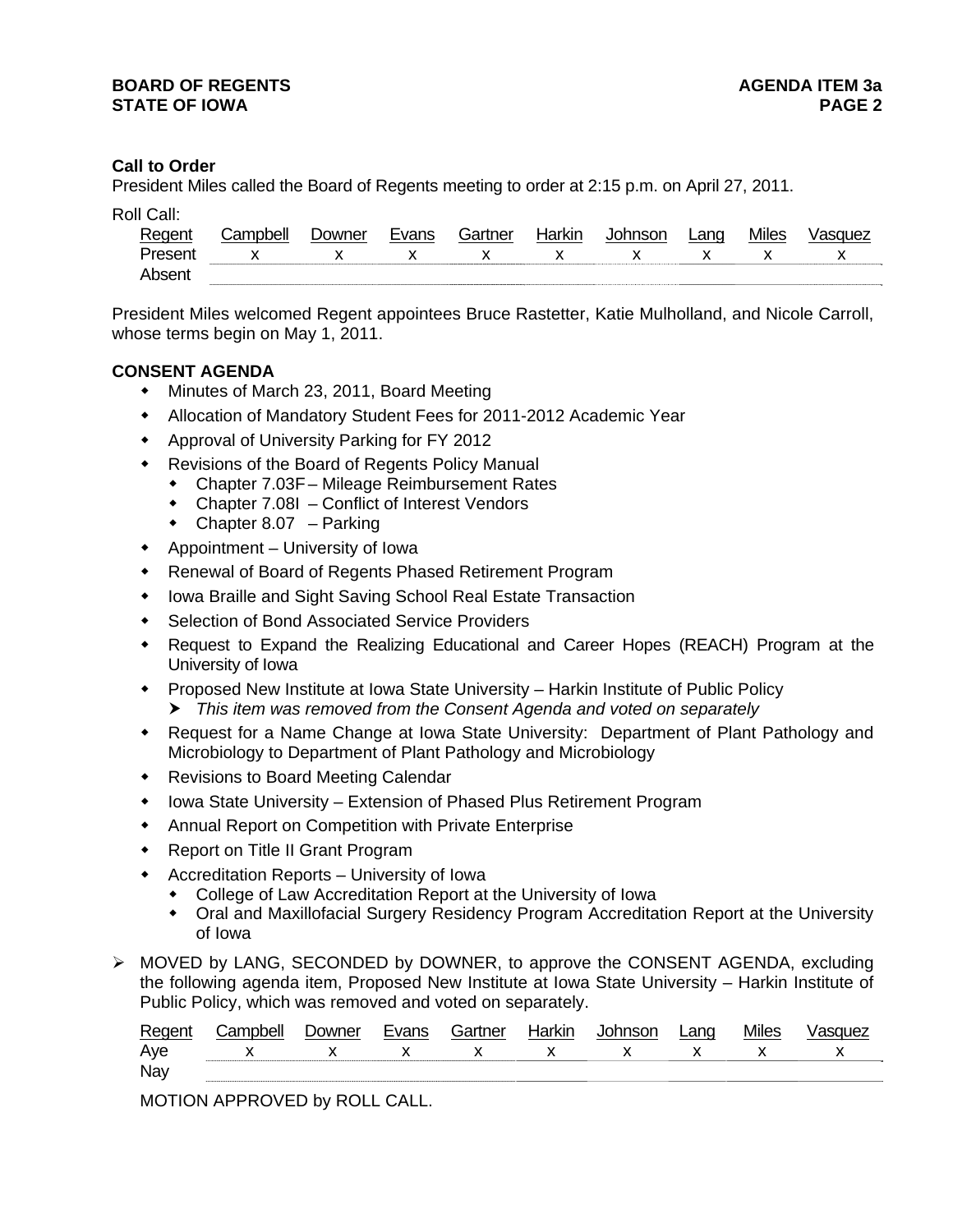# **Call to Order**

President Miles called the Board of Regents meeting to order at 2:15 p.m. on April 27, 2011.

| Roll Call: |  |
|------------|--|
|            |  |

| Regent  | Campbell              | Downer | Evans | Gartner | Harkin | <b>Johnson</b> | Lang        | <b>Miles</b> | Vasquez |
|---------|-----------------------|--------|-------|---------|--------|----------------|-------------|--------------|---------|
| Present | $X$ x $X$ x $X$ x $X$ |        |       |         |        |                | $\mathbf x$ |              |         |
| Absent  |                       |        |       |         |        |                |             |              |         |

President Miles welcomed Regent appointees Bruce Rastetter, Katie Mulholland, and Nicole Carroll, whose terms begin on May 1, 2011.

# **CONSENT AGENDA**

- Minutes of March 23, 2011, Board Meeting
- Allocation of Mandatory Student Fees for 2011-2012 Academic Year
- Approval of University Parking for FY 2012
- Revisions of the Board of Regents Policy Manual
	- Chapter 7.03F Mileage Reimbursement Rates
	- Chapter 7.08I Conflict of Interest Vendors
	- $\bullet$  Chapter 8.07 Parking
- Appointment University of Iowa
- Renewal of Board of Regents Phased Retirement Program
- Iowa Braille and Sight Saving School Real Estate Transaction
- Selection of Bond Associated Service Providers
- Request to Expand the Realizing Educational and Career Hopes (REACH) Program at the University of Iowa
- Proposed New Institute at Iowa State University Harkin Institute of Public Policy *This item was removed from the Consent Agenda and voted on separately*
- Request for a Name Change at Iowa State University: Department of Plant Pathology and Microbiology to Department of Plant Pathology and Microbiology
- Revisions to Board Meeting Calendar
- Iowa State University Extension of Phased Plus Retirement Program
- Annual Report on Competition with Private Enterprise
- ◆ Report on Title II Grant Program
- Accreditation Reports University of Iowa
	- College of Law Accreditation Report at the University of Iowa
	- Oral and Maxillofacial Surgery Residency Program Accreditation Report at the University of Iowa
- MOVED by LANG, SECONDED by DOWNER, to approve the CONSENT AGENDA, excluding the following agenda item, Proposed New Institute at Iowa State University – Harkin Institute of Public Policy, which was removed and voted on separately.

| Regent     | .`ampbell     | ⊃owner | Gartner | Harkin |             | ∟anɑ | Miles |              |
|------------|---------------|--------|---------|--------|-------------|------|-------|--------------|
| Aye        | $X$ x $X$ $X$ |        |         |        | $X$ $X$ $X$ |      |       | $\mathsf{X}$ |
| <b>Nay</b> |               |        |         |        |             |      |       |              |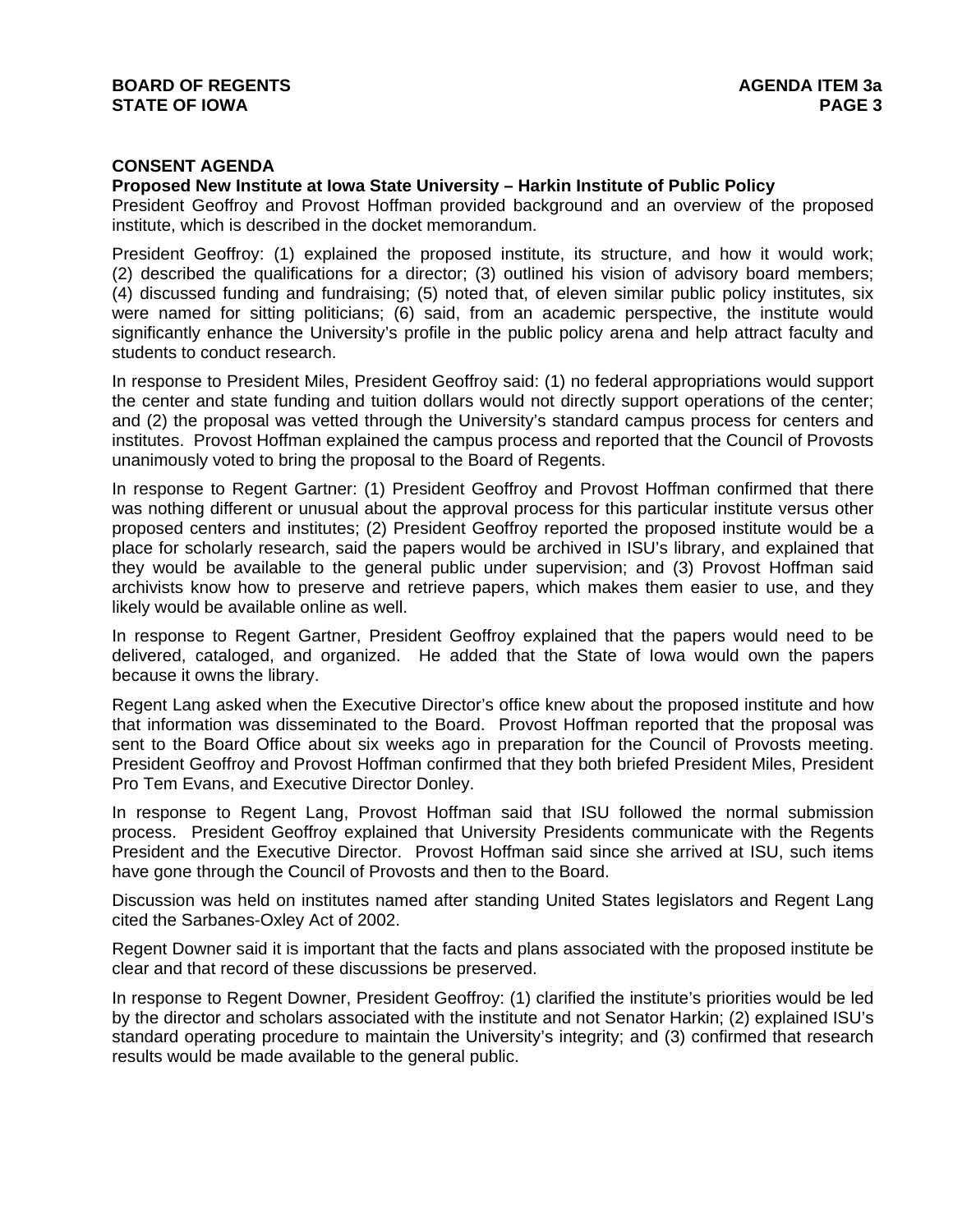# **CONSENT AGENDA**

## **Proposed New Institute at Iowa State University – Harkin Institute of Public Policy**

President Geoffroy and Provost Hoffman provided background and an overview of the proposed institute, which is described in the docket memorandum.

President Geoffroy: (1) explained the proposed institute, its structure, and how it would work; (2) described the qualifications for a director; (3) outlined his vision of advisory board members; (4) discussed funding and fundraising; (5) noted that, of eleven similar public policy institutes, six were named for sitting politicians; (6) said, from an academic perspective, the institute would significantly enhance the University's profile in the public policy arena and help attract faculty and students to conduct research.

In response to President Miles, President Geoffroy said: (1) no federal appropriations would support the center and state funding and tuition dollars would not directly support operations of the center; and (2) the proposal was vetted through the University's standard campus process for centers and institutes. Provost Hoffman explained the campus process and reported that the Council of Provosts unanimously voted to bring the proposal to the Board of Regents.

In response to Regent Gartner: (1) President Geoffroy and Provost Hoffman confirmed that there was nothing different or unusual about the approval process for this particular institute versus other proposed centers and institutes; (2) President Geoffroy reported the proposed institute would be a place for scholarly research, said the papers would be archived in ISU's library, and explained that they would be available to the general public under supervision; and (3) Provost Hoffman said archivists know how to preserve and retrieve papers, which makes them easier to use, and they likely would be available online as well.

In response to Regent Gartner, President Geoffroy explained that the papers would need to be delivered, cataloged, and organized. He added that the State of Iowa would own the papers because it owns the library.

Regent Lang asked when the Executive Director's office knew about the proposed institute and how that information was disseminated to the Board. Provost Hoffman reported that the proposal was sent to the Board Office about six weeks ago in preparation for the Council of Provosts meeting. President Geoffroy and Provost Hoffman confirmed that they both briefed President Miles, President Pro Tem Evans, and Executive Director Donley.

In response to Regent Lang, Provost Hoffman said that ISU followed the normal submission process. President Geoffroy explained that University Presidents communicate with the Regents President and the Executive Director. Provost Hoffman said since she arrived at ISU, such items have gone through the Council of Provosts and then to the Board.

Discussion was held on institutes named after standing United States legislators and Regent Lang cited the Sarbanes-Oxley Act of 2002.

Regent Downer said it is important that the facts and plans associated with the proposed institute be clear and that record of these discussions be preserved.

In response to Regent Downer, President Geoffroy: (1) clarified the institute's priorities would be led by the director and scholars associated with the institute and not Senator Harkin; (2) explained ISU's standard operating procedure to maintain the University's integrity; and (3) confirmed that research results would be made available to the general public.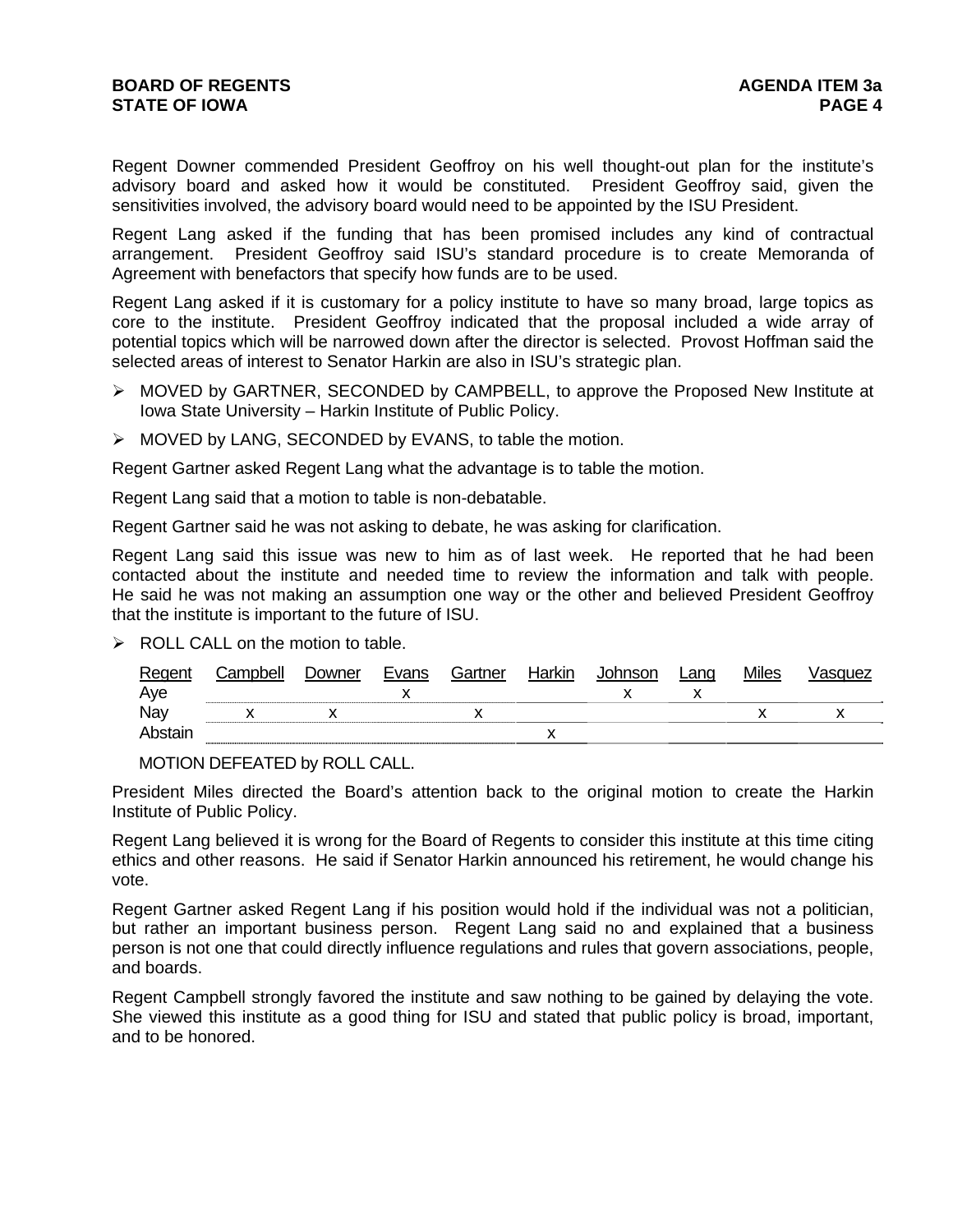Regent Downer commended President Geoffroy on his well thought-out plan for the institute's advisory board and asked how it would be constituted. President Geoffroy said, given the sensitivities involved, the advisory board would need to be appointed by the ISU President.

Regent Lang asked if the funding that has been promised includes any kind of contractual arrangement. President Geoffroy said ISU's standard procedure is to create Memoranda of Agreement with benefactors that specify how funds are to be used.

Regent Lang asked if it is customary for a policy institute to have so many broad, large topics as core to the institute. President Geoffroy indicated that the proposal included a wide array of potential topics which will be narrowed down after the director is selected. Provost Hoffman said the selected areas of interest to Senator Harkin are also in ISU's strategic plan.

- MOVED by GARTNER, SECONDED by CAMPBELL, to approve the Proposed New Institute at Iowa State University – Harkin Institute of Public Policy.
- > MOVED by LANG, SECONDED by EVANS, to table the motion.

Regent Gartner asked Regent Lang what the advantage is to table the motion.

Regent Lang said that a motion to table is non-debatable.

Regent Gartner said he was not asking to debate, he was asking for clarification.

Regent Lang said this issue was new to him as of last week. He reported that he had been contacted about the institute and needed time to review the information and talk with people. He said he was not making an assumption one way or the other and believed President Geoffroy that the institute is important to the future of ISU.

 $\triangleright$  ROLL CALL on the motion to table.

| Regent  | Campbell | Downer | Evans | Gartner | Harkin | Johnson | Lang | <b>Miles</b> | /asquez |
|---------|----------|--------|-------|---------|--------|---------|------|--------------|---------|
| Aye     |          |        |       |         |        |         |      |              |         |
| Nay     |          |        |       |         |        |         |      |              |         |
| Abstain |          |        |       |         |        |         |      |              |         |

MOTION DEFEATED by ROLL CALL.

President Miles directed the Board's attention back to the original motion to create the Harkin Institute of Public Policy.

Regent Lang believed it is wrong for the Board of Regents to consider this institute at this time citing ethics and other reasons. He said if Senator Harkin announced his retirement, he would change his vote.

Regent Gartner asked Regent Lang if his position would hold if the individual was not a politician, but rather an important business person. Regent Lang said no and explained that a business person is not one that could directly influence regulations and rules that govern associations, people, and boards.

Regent Campbell strongly favored the institute and saw nothing to be gained by delaying the vote. She viewed this institute as a good thing for ISU and stated that public policy is broad, important, and to be honored.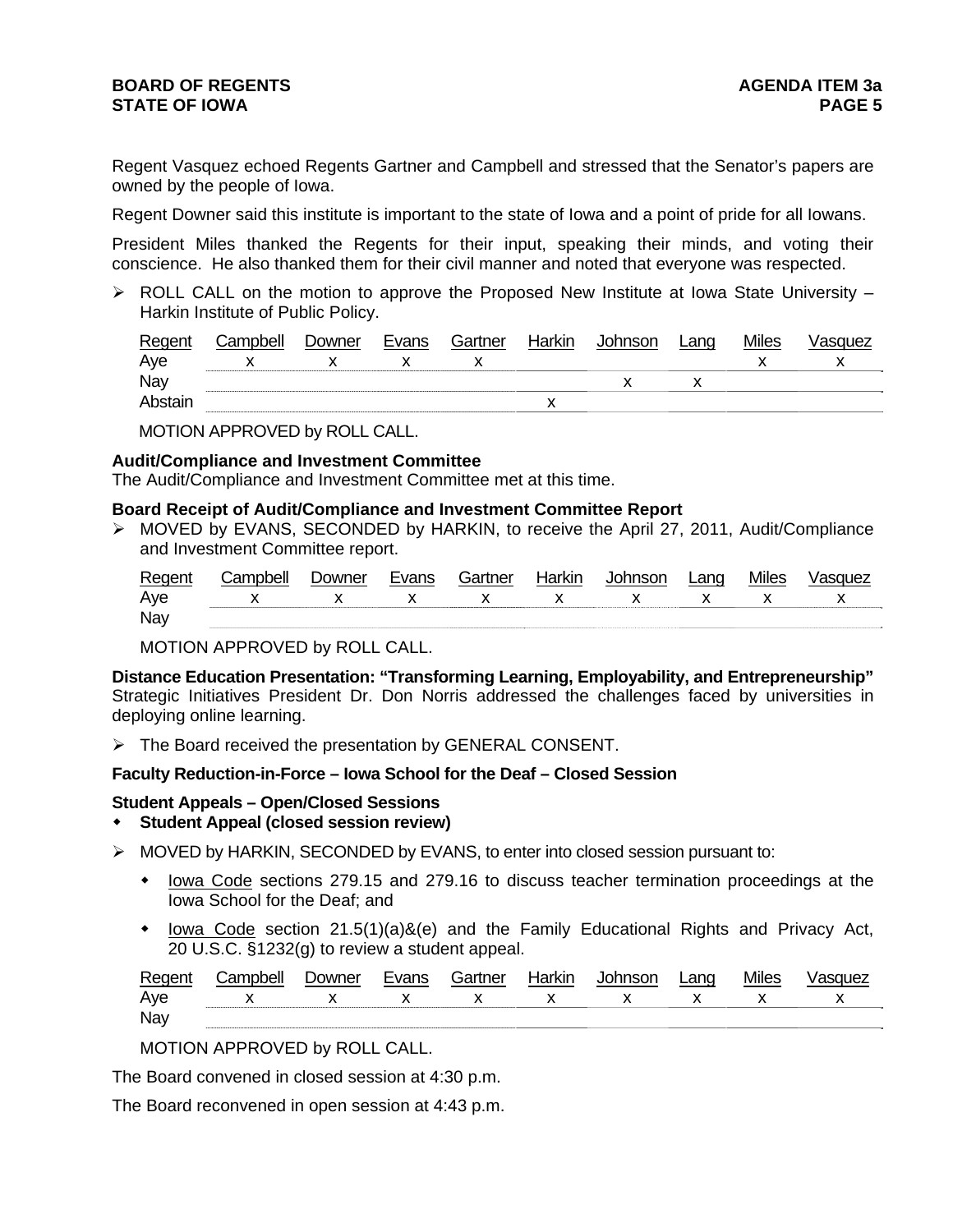# **BOARD OF REGENTS AGENER AGENERAL LIMIT CONTROL STATE OF IOWA** PAGE 5

Regent Vasquez echoed Regents Gartner and Campbell and stressed that the Senator's papers are owned by the people of Iowa.

Regent Downer said this institute is important to the state of Iowa and a point of pride for all Iowans.

President Miles thanked the Regents for their input, speaking their minds, and voting their conscience. He also thanked them for their civil manner and noted that everyone was respected.

 $\triangleright$  ROLL CALL on the motion to approve the Proposed New Institute at Iowa State University – Harkin Institute of Public Policy.

| Regent  | Campbell | Downer | Evans | Gartner | Harkin | Johnson | Lang | <b>Miles</b> | Vasquez |
|---------|----------|--------|-------|---------|--------|---------|------|--------------|---------|
| Aye     |          |        |       |         |        |         |      |              |         |
| Nay     |          |        |       |         |        |         |      |              |         |
| Abstair |          |        |       |         |        |         |      |              |         |

MOTION APPROVED by ROLL CALL.

## **Audit/Compliance and Investment Committee**

The Audit/Compliance and Investment Committee met at this time.

# **Board Receipt of Audit/Compliance and Investment Committee Report**

 MOVED by EVANS, SECONDED by HARKIN, to receive the April 27, 2011, Audit/Compliance and Investment Committee report.

| Regent | Campbell       | Downer | Evans       | Gartner      | Harkin       | <b>Johnson</b>                                                                                                                                                                                                                                                                                                                | Lang         | <b>Miles</b> | Vasquez |
|--------|----------------|--------|-------------|--------------|--------------|-------------------------------------------------------------------------------------------------------------------------------------------------------------------------------------------------------------------------------------------------------------------------------------------------------------------------------|--------------|--------------|---------|
| Aye    | $\mathsf{X}$ x |        | $\mathbf x$ | $\mathbf{x}$ | $\mathsf{X}$ | $\mathbf{x}$ and $\mathbf{x}$ and $\mathbf{x}$ and $\mathbf{x}$ and $\mathbf{x}$ and $\mathbf{x}$ and $\mathbf{x}$ and $\mathbf{x}$ and $\mathbf{x}$ and $\mathbf{x}$ and $\mathbf{x}$ and $\mathbf{x}$ and $\mathbf{x}$ and $\mathbf{x}$ and $\mathbf{x}$ and $\mathbf{x}$ and $\mathbf{x}$ and $\mathbf{x}$ and $\mathbf{x$ | $\mathsf{X}$ |              |         |
| Nay    |                |        |             |              |              |                                                                                                                                                                                                                                                                                                                               |              |              |         |

MOTION APPROVED by ROLL CALL.

**Distance Education Presentation: "Transforming Learning, Employability, and Entrepreneurship"** Strategic Initiatives President Dr. Don Norris addressed the challenges faced by universities in deploying online learning.

 $\triangleright$  The Board received the presentation by GENERAL CONSENT.

# **Faculty Reduction-in-Force – Iowa School for the Deaf – Closed Session**

# **Student Appeals – Open/Closed Sessions**

- **Student Appeal (closed session review)**
- $\triangleright$  MOVED by HARKIN, SECONDED by EVANS, to enter into closed session pursuant to:
	- lowa Code sections 279.15 and 279.16 to discuss teacher termination proceedings at the Iowa School for the Deaf; and
	- $\bullet$  lowa Code section 21.5(1)(a)&(e) and the Family Educational Rights and Privacy Act, 20 U.S.C. §1232(g) to review a student appeal.

| Regent | Campbell | Jowner | Evans | Gartner | Harkin | Johnson | ∟anɑ | <b>Miles</b> | <i><b>\SQUEZ</b></i> |
|--------|----------|--------|-------|---------|--------|---------|------|--------------|----------------------|
| Aye    |          |        |       |         |        |         |      |              |                      |
| Nay    |          |        |       |         |        |         |      |              |                      |

MOTION APPROVED by ROLL CALL.

The Board convened in closed session at 4:30 p.m.

The Board reconvened in open session at 4:43 p.m.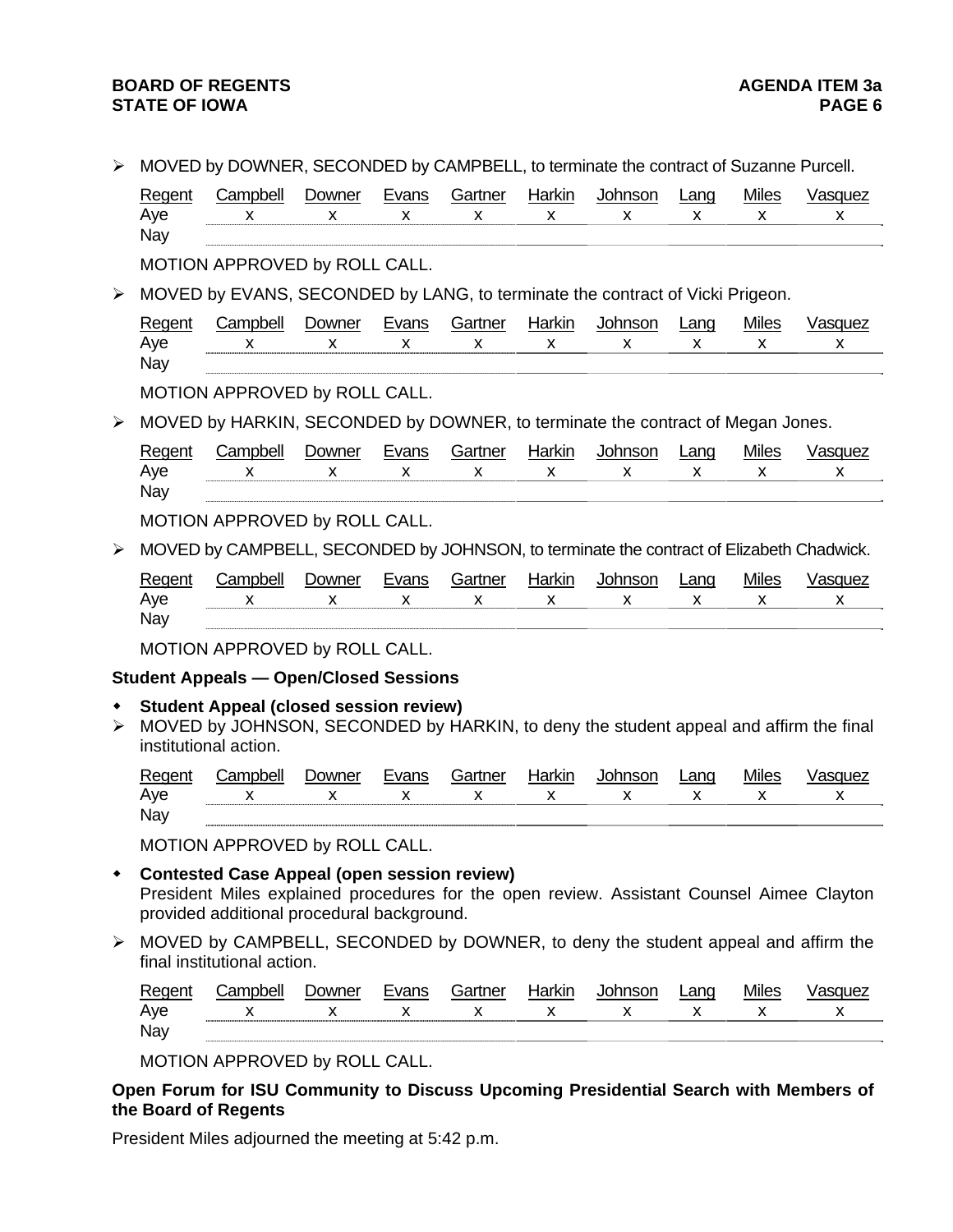# **BOARD OF REGENTS**<br>STATE OF IOWA **AGENDA ITEM 3a STATE OF IOWA**

|  | MOVED by DOWNER, SECONDED by CAMPBELL, to terminate the contract of Suzanne Purcell. |
|--|--------------------------------------------------------------------------------------|
|  |                                                                                      |

| Regent<br>Aye<br>Nay  | Campbell<br>x                                                                                                                                                                                 | Downer<br>x | <b>Evans</b><br>x | Gartner<br>X | <b>Harkin</b><br>x | Johnson<br>X | Lang<br>x | <b>Miles</b><br>x  | <b>Vasquez</b><br>X |
|-----------------------|-----------------------------------------------------------------------------------------------------------------------------------------------------------------------------------------------|-------------|-------------------|--------------|--------------------|--------------|-----------|--------------------|---------------------|
|                       | MOTION APPROVED by ROLL CALL.                                                                                                                                                                 |             |                   |              |                    |              |           |                    |                     |
| $\blacktriangleright$ | MOVED by EVANS, SECONDED by LANG, to terminate the contract of Vicki Prigeon.                                                                                                                 |             |                   |              |                    |              |           |                    |                     |
| Regent<br>Aye<br>Nay  | Campbell<br>X                                                                                                                                                                                 | Downer<br>X | <b>Evans</b><br>X | Gartner<br>X | Harkin<br>X        | Johnson<br>X | Lang<br>X | <b>Miles</b><br>X  | Vasquez<br>X        |
|                       | MOTION APPROVED by ROLL CALL.                                                                                                                                                                 |             |                   |              |                    |              |           |                    |                     |
| $\blacktriangleright$ | MOVED by HARKIN, SECONDED by DOWNER, to terminate the contract of Megan Jones.                                                                                                                |             |                   |              |                    |              |           |                    |                     |
| Regent<br>Aye<br>Nay  | Campbell<br>x                                                                                                                                                                                 | Downer<br>X | Evans<br>x        | Gartner<br>X | Harkin<br>x        | Johnson<br>x | Lang<br>x | <b>Miles</b><br>X  | Vasquez<br>x        |
|                       | MOTION APPROVED by ROLL CALL.                                                                                                                                                                 |             |                   |              |                    |              |           |                    |                     |
| $\blacktriangleright$ | MOVED by CAMPBELL, SECONDED by JOHNSON, to terminate the contract of Elizabeth Chadwick.                                                                                                      |             |                   |              |                    |              |           |                    |                     |
| Regent<br>Aye<br>Nay  | Campbell<br>X                                                                                                                                                                                 | Downer<br>X | Evans<br>x        | Gartner<br>X | <b>Harkin</b><br>x | Johnson<br>X | Lang<br>X | <b>Miles</b><br>X. | <b>Vasquez</b><br>X |
|                       | MOTION APPROVED by ROLL CALL.                                                                                                                                                                 |             |                   |              |                    |              |           |                    |                     |
|                       | <b>Student Appeals - Open/Closed Sessions</b>                                                                                                                                                 |             |                   |              |                    |              |           |                    |                     |
| $\blacktriangleright$ | <b>Student Appeal (closed session review)</b><br>MOVED by JOHNSON, SECONDED by HARKIN, to deny the student appeal and affirm the final<br>institutional action.                               |             |                   |              |                    |              |           |                    |                     |
| Regent<br>Aye<br>Nay  | Campbell<br>X                                                                                                                                                                                 | Downer<br>X | Evans<br>X        | Gartner<br>X | Harkin<br>x        | Johnson<br>x | Lang<br>x | <b>Miles</b><br>x  | Vasquez<br>x        |
|                       | MOTION APPROVED by ROLL CALL.                                                                                                                                                                 |             |                   |              |                    |              |           |                    |                     |
|                       | <b>Contested Case Appeal (open session review)</b><br>President Miles explained procedures for the open review. Assistant Counsel Aimee Clayton<br>provided additional procedural background. |             |                   |              |                    |              |           |                    |                     |
|                       | $MONED$ by CAMPDELL, CECONIDED by DOMAIED, to deny the student expect and office the                                                                                                          |             |                   |              |                    |              |           |                    |                     |

 MOVED by CAMPBELL, SECONDED by DOWNER, to deny the student appeal and affirm the final institutional action.

| -<br>⊷        | <br>~" | 100r<br>w<br>ີ |     | -- | .<br>וואו | $\sim$ | 200<br>∼ | $- - -$<br>$-1$ |    |
|---------------|--------|----------------|-----|----|-----------|--------|----------|-----------------|----|
| Ave           |        |                | . . |    | . .       | . .    |          | . .             | ,, |
| Nay<br>$\sim$ |        |                |     |    |           |        |          |                 |    |

MOTION APPROVED by ROLL CALL.

**Open Forum for ISU Community to Discuss Upcoming Presidential Search with Members of the Board of Regents** 

President Miles adjourned the meeting at 5:42 p.m.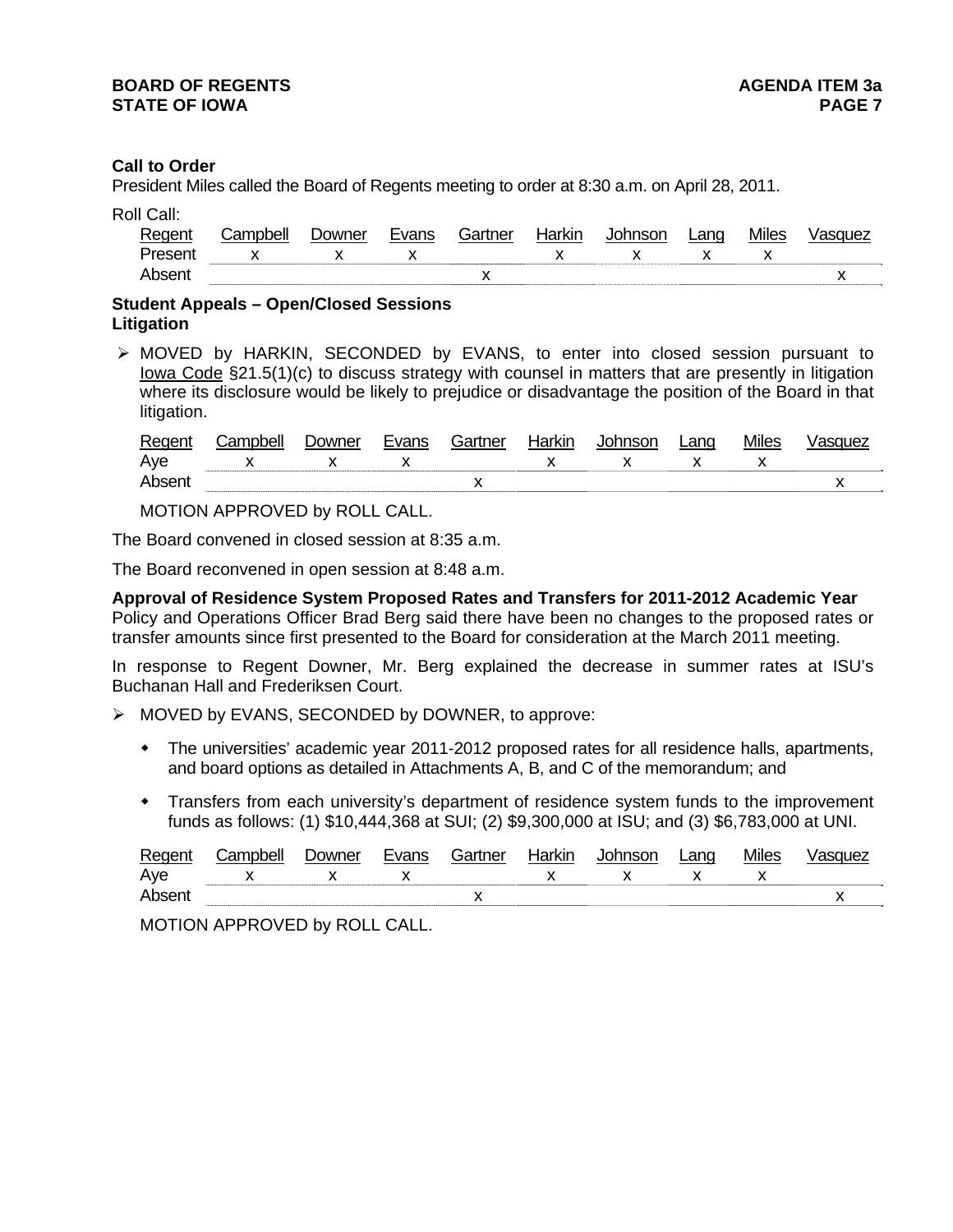# **Call to Order**

President Miles called the Board of Regents meeting to order at 8:30 a.m. on April 28, 2011.

| Roll Call: |  |
|------------|--|
|            |  |

| Regent  | ;ampbell | ⊃owner | Evans | Gartner | Harkın | nnson | _ano | Miles | ำue∠ |
|---------|----------|--------|-------|---------|--------|-------|------|-------|------|
| Prosont |          |        | . .   |         |        |       |      |       |      |
| Aheer   |          |        |       |         |        |       |      |       |      |

# **Student Appeals – Open/Closed Sessions Litigation**

 $\triangleright$  MOVED by HARKIN, SECONDED by EVANS, to enter into closed session pursuant to Iowa Code §21.5(1)(c) to discuss strategy with counsel in matters that are presently in litigation where its disclosure would be likely to prejudice or disadvantage the position of the Board in that litigation.

| Reger | `omr | ⊃owner | vans | Gartner | Iorlan | noon | ∟ano | .<br>Miles |    |
|-------|------|--------|------|---------|--------|------|------|------------|----|
| Aye   |      |        |      |         |        |      |      |            |    |
|       |      |        |      | ,,      |        |      |      |            | ., |

MOTION APPROVED by ROLL CALL.

The Board convened in closed session at 8:35 a.m.

The Board reconvened in open session at 8:48 a.m.

**Approval of Residence System Proposed Rates and Transfers for 2011-2012 Academic Year** Policy and Operations Officer Brad Berg said there have been no changes to the proposed rates or transfer amounts since first presented to the Board for consideration at the March 2011 meeting.

In response to Regent Downer, Mr. Berg explained the decrease in summer rates at ISU's Buchanan Hall and Frederiksen Court.

- $\triangleright$  MOVED by EVANS, SECONDED by DOWNER, to approve:
	- The universities' academic year 2011-2012 proposed rates for all residence halls, apartments, and board options as detailed in Attachments A, B, and C of the memorandum; and
	- Transfers from each university's department of residence system funds to the improvement funds as follows: (1) \$10,444,368 at SUI; (2) \$9,300,000 at ISU; and (3) \$6,783,000 at UNI.

| RAC | `omr | ⊃owner | 1000 | ⊦n∧r | Harkın | ∟anɑ | Miles |     |
|-----|------|--------|------|------|--------|------|-------|-----|
| Aye |      |        |      |      |        |      |       |     |
| Ahr |      |        |      |      |        |      |       | . . |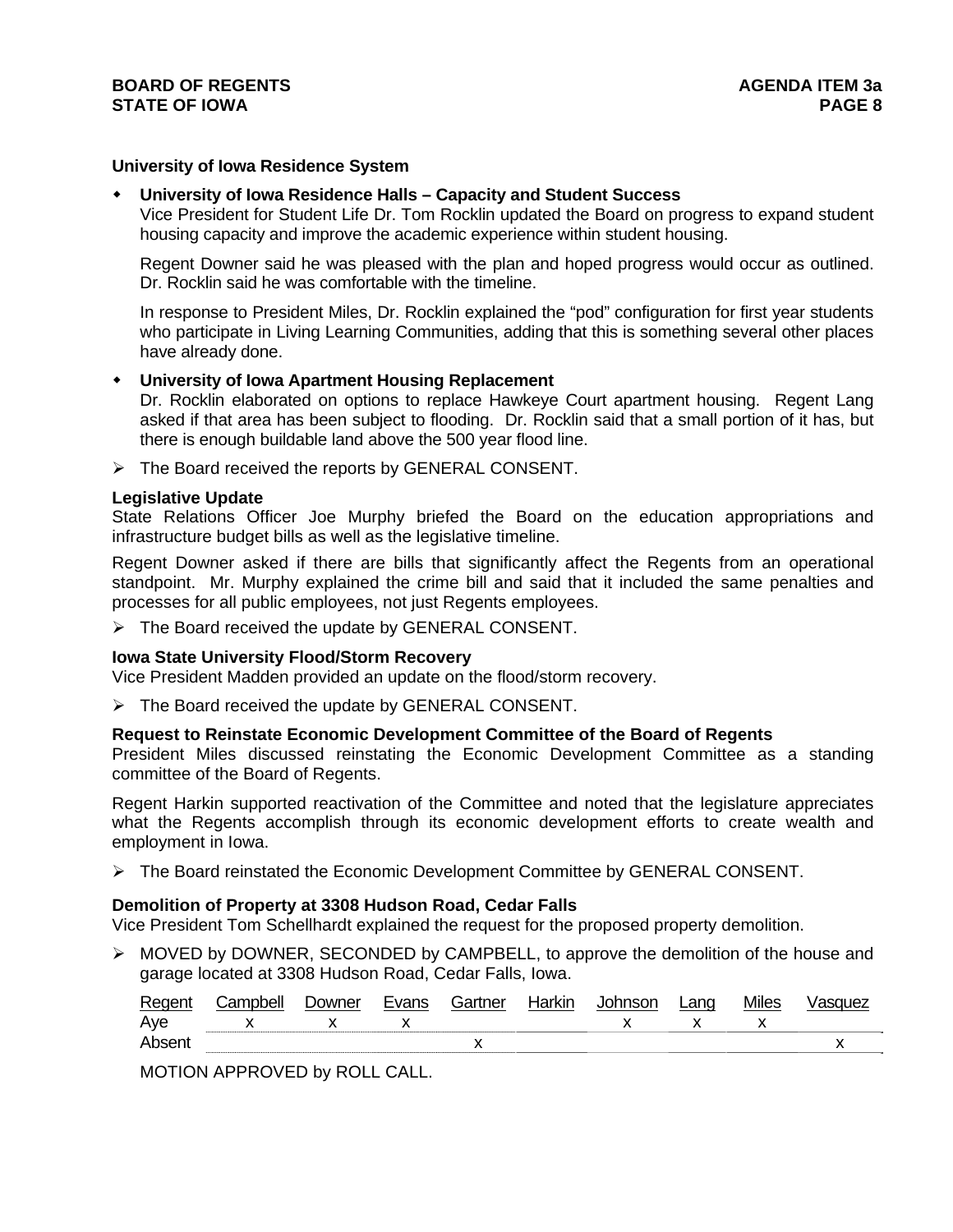## **University of Iowa Residence System**

## **University of Iowa Residence Halls – Capacity and Student Success**

Vice President for Student Life Dr. Tom Rocklin updated the Board on progress to expand student housing capacity and improve the academic experience within student housing.

Regent Downer said he was pleased with the plan and hoped progress would occur as outlined. Dr. Rocklin said he was comfortable with the timeline.

In response to President Miles, Dr. Rocklin explained the "pod" configuration for first year students who participate in Living Learning Communities, adding that this is something several other places have already done.

## **University of Iowa Apartment Housing Replacement**

Dr. Rocklin elaborated on options to replace Hawkeye Court apartment housing. Regent Lang asked if that area has been subject to flooding. Dr. Rocklin said that a small portion of it has, but there is enough buildable land above the 500 year flood line.

 $\triangleright$  The Board received the reports by GENERAL CONSENT.

#### **Legislative Update**

State Relations Officer Joe Murphy briefed the Board on the education appropriations and infrastructure budget bills as well as the legislative timeline.

Regent Downer asked if there are bills that significantly affect the Regents from an operational standpoint. Mr. Murphy explained the crime bill and said that it included the same penalties and processes for all public employees, not just Regents employees.

 $\triangleright$  The Board received the update by GENERAL CONSENT.

#### **Iowa State University Flood/Storm Recovery**

Vice President Madden provided an update on the flood/storm recovery.

 $\triangleright$  The Board received the update by GENERAL CONSENT.

# **Request to Reinstate Economic Development Committee of the Board of Regents**

President Miles discussed reinstating the Economic Development Committee as a standing committee of the Board of Regents.

Regent Harkin supported reactivation of the Committee and noted that the legislature appreciates what the Regents accomplish through its economic development efforts to create wealth and employment in Iowa.

The Board reinstated the Economic Development Committee by GENERAL CONSENT.

#### **Demolition of Property at 3308 Hudson Road, Cedar Falls**

Vice President Tom Schellhardt explained the request for the proposed property demolition.

 $\triangleright$  MOVED by DOWNER, SECONDED by CAMPBELL, to approve the demolition of the house and garage located at 3308 Hudson Road, Cedar Falls, Iowa.

| Regent | Campbell | <b>Downer</b> | Evans | Gartner | Harkin | Johnson | Land | <b>Miles</b> | asquez |
|--------|----------|---------------|-------|---------|--------|---------|------|--------------|--------|
| Aye    |          |               |       |         |        |         |      |              |        |
| Absent |          |               |       |         |        |         |      |              |        |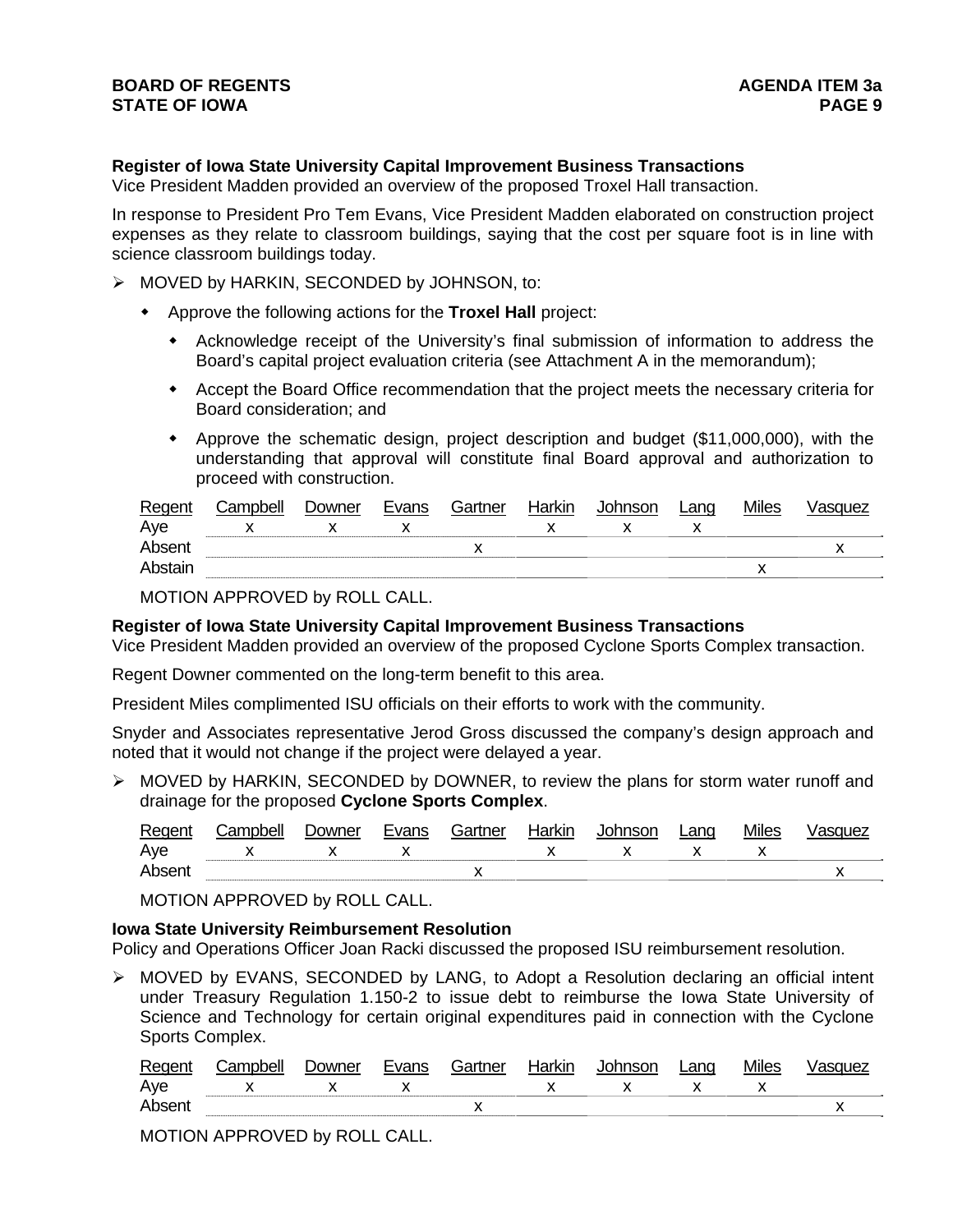# **Register of Iowa State University Capital Improvement Business Transactions**

Vice President Madden provided an overview of the proposed Troxel Hall transaction.

In response to President Pro Tem Evans, Vice President Madden elaborated on construction project expenses as they relate to classroom buildings, saying that the cost per square foot is in line with science classroom buildings today.

- $\triangleright$  MOVED by HARKIN, SECONDED by JOHNSON, to:
	- Approve the following actions for the **Troxel Hall** project:
		- Acknowledge receipt of the University's final submission of information to address the Board's capital project evaluation criteria (see Attachment A in the memorandum);
		- Accept the Board Office recommendation that the project meets the necessary criteria for Board consideration; and
		- Approve the schematic design, project description and budget (\$11,000,000), with the understanding that approval will constitute final Board approval and authorization to proceed with construction.

| Regent  | Campbell | Downer | Evans | Gartner | Harkin | Johnson | Lang | <b>Miles</b> | Vasquez |
|---------|----------|--------|-------|---------|--------|---------|------|--------------|---------|
| Aye     |          |        |       |         |        |         |      |              |         |
| Absent  |          |        |       |         |        |         |      |              |         |
| Abstain |          |        |       |         |        |         |      |              |         |

MOTION APPROVED by ROLL CALL.

#### **Register of Iowa State University Capital Improvement Business Transactions**

Vice President Madden provided an overview of the proposed Cyclone Sports Complex transaction.

Regent Downer commented on the long-term benefit to this area.

President Miles complimented ISU officials on their efforts to work with the community.

Snyder and Associates representative Jerod Gross discussed the company's design approach and noted that it would not change if the project were delayed a year.

 $\triangleright$  MOVED by HARKIN, SECONDED by DOWNER, to review the plans for storm water runoff and drainage for the proposed **Cyclone Sports Complex**.

| Regent | ≿ampbell | Downer | Evans | Gartner | Harkin | Johnson | Lang | Miles | asquez |
|--------|----------|--------|-------|---------|--------|---------|------|-------|--------|
| Aye    |          |        |       |         |        |         |      |       |        |
| Absent |          |        |       |         |        |         |      |       | ,,     |

MOTION APPROVED by ROLL CALL.

#### **Iowa State University Reimbursement Resolution**

Policy and Operations Officer Joan Racki discussed the proposed ISU reimbursement resolution.

 MOVED by EVANS, SECONDED by LANG, to Adopt a Resolution declaring an official intent under Treasury Regulation 1.150-2 to issue debt to reimburse the Iowa State University of Science and Technology for certain original expenditures paid in connection with the Cyclone Sports Complex.

| Regen | `omnholl | )owner | L   | Bartner | <b>Harkir</b> | ∟ano | <b>Miles</b> |  |
|-------|----------|--------|-----|---------|---------------|------|--------------|--|
| Ave   |          |        | . . |         |               |      | . .          |  |
| Ahsei |          |        |     |         |               |      |              |  |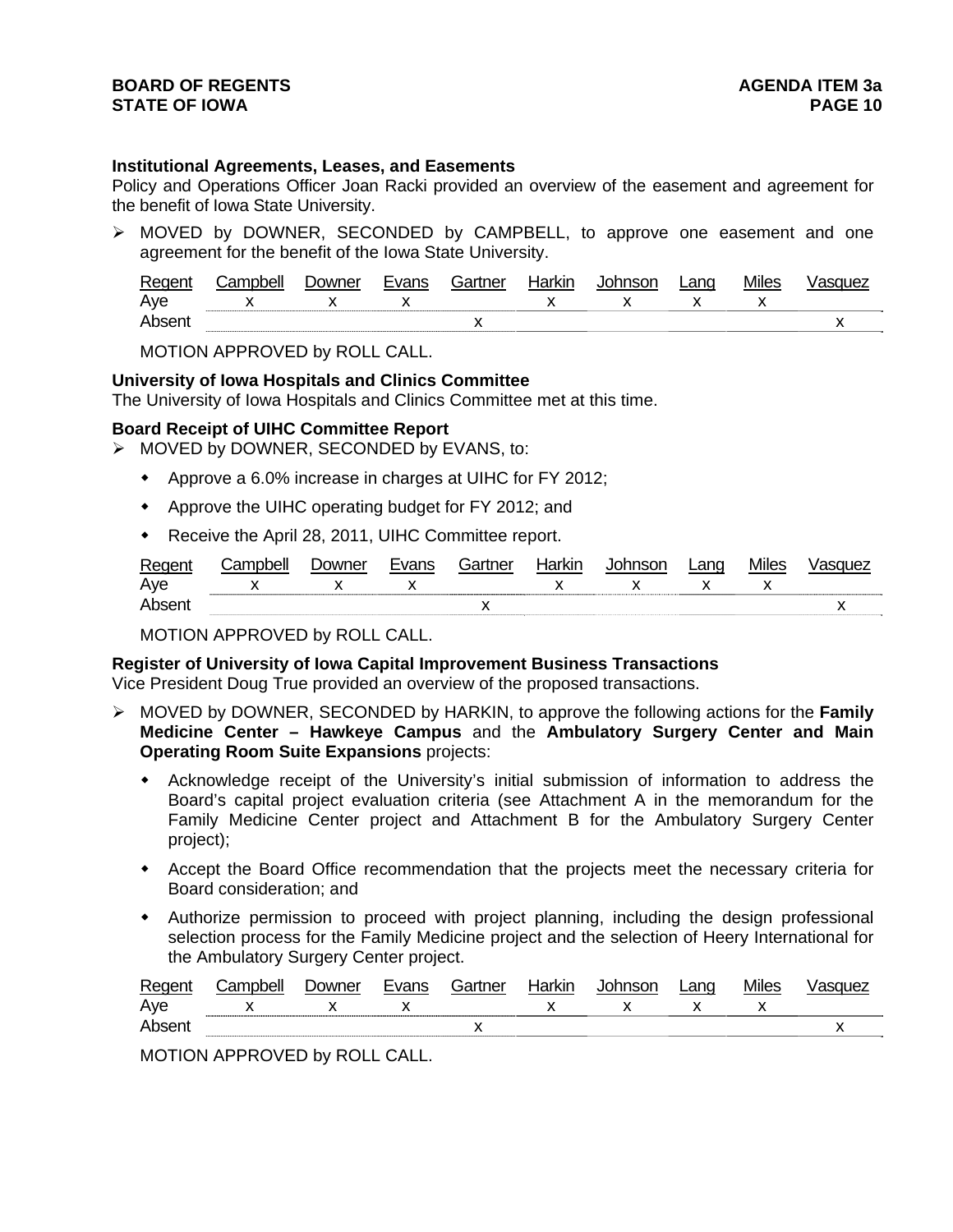## **Institutional Agreements, Leases, and Easements**

Policy and Operations Officer Joan Racki provided an overview of the easement and agreement for the benefit of Iowa State University.

 MOVED by DOWNER, SECONDED by CAMPBELL, to approve one easement and one agreement for the benefit of the Iowa State University.

| Regent | .ampbell | ⊃owner | Evans | . -ìartner | Harkin | Johnson | ∟ano | <b>Miles</b> | <b>isquez</b> |
|--------|----------|--------|-------|------------|--------|---------|------|--------------|---------------|
| Ave    |          |        |       |            |        |         |      |              |               |
| Absen. |          |        |       |            |        |         |      |              |               |

MOTION APPROVED by ROLL CALL.

## **University of Iowa Hospitals and Clinics Committee**

The University of Iowa Hospitals and Clinics Committee met at this time.

## **Board Receipt of UIHC Committee Report**

MOVED by DOWNER, SECONDED by EVANS, to:

- Approve a 6.0% increase in charges at UIHC for FY 2012;
- Approve the UIHC operating budget for FY 2012; and
- Receive the April 28, 2011, UIHC Committee report.

| $_{\kappa}$ |    |  | .<br>ייי | ∟anơ |    |    |
|-------------|----|--|----------|------|----|----|
| Aye         | ,, |  |          |      | ,, |    |
| ▵           |    |  |          |      |    | ,, |

MOTION APPROVED by ROLL CALL.

**Register of University of Iowa Capital Improvement Business Transactions**  Vice President Doug True provided an overview of the proposed transactions.

- MOVED by DOWNER, SECONDED by HARKIN, to approve the following actions for the **Family Medicine Center – Hawkeye Campus** and the **Ambulatory Surgery Center and Main Operating Room Suite Expansions** projects:
	- Acknowledge receipt of the University's initial submission of information to address the Board's capital project evaluation criteria (see Attachment A in the memorandum for the Family Medicine Center project and Attachment B for the Ambulatory Surgery Center project);
	- Accept the Board Office recommendation that the projects meet the necessary criteria for Board consideration; and
	- Authorize permission to proceed with project planning, including the design professional selection process for the Family Medicine project and the selection of Heery International for the Ambulatory Surgery Center project.

| ∽<br>⊷⊶ | `amnhall | Jowner | $\sim$  | tn∆r | larkın | $-0.00$ | 200<br>Lai Iu | .<br>Mıles |  |
|---------|----------|--------|---------|------|--------|---------|---------------|------------|--|
| Ave     |          |        | $\cdot$ |      |        |         |               |            |  |
|         |          |        |         |      |        |         |               |            |  |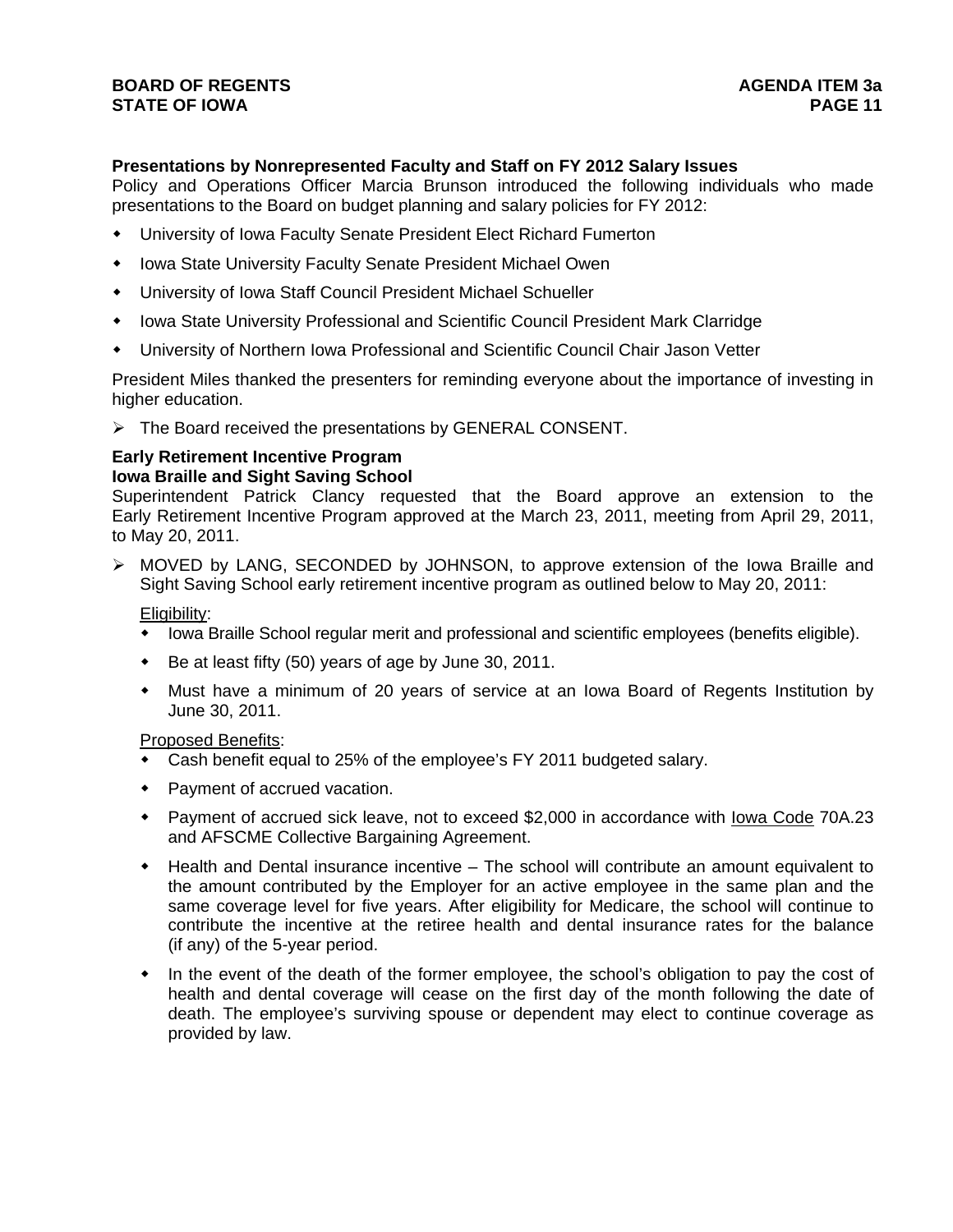# **Presentations by Nonrepresented Faculty and Staff on FY 2012 Salary Issues**

Policy and Operations Officer Marcia Brunson introduced the following individuals who made presentations to the Board on budget planning and salary policies for FY 2012:

- University of Iowa Faculty Senate President Elect Richard Fumerton
- Iowa State University Faculty Senate President Michael Owen
- University of Iowa Staff Council President Michael Schueller
- Iowa State University Professional and Scientific Council President Mark Clarridge
- University of Northern Iowa Professional and Scientific Council Chair Jason Vetter

President Miles thanked the presenters for reminding everyone about the importance of investing in higher education.

> The Board received the presentations by GENERAL CONSENT.

## **Early Retirement Incentive Program Iowa Braille and Sight Saving School**

Superintendent Patrick Clancy requested that the Board approve an extension to the Early Retirement Incentive Program approved at the March 23, 2011, meeting from April 29, 2011, to May 20, 2011.

 MOVED by LANG, SECONDED by JOHNSON, to approve extension of the Iowa Braille and Sight Saving School early retirement incentive program as outlined below to May 20, 2011:

Eligibility:

- Iowa Braille School regular merit and professional and scientific employees (benefits eligible).
- Be at least fifty (50) years of age by June 30, 2011.
- Must have a minimum of 20 years of service at an Iowa Board of Regents Institution by June 30, 2011.

# Proposed Benefits:

- Cash benefit equal to 25% of the employee's FY 2011 budgeted salary.
- Payment of accrued vacation.
- Payment of accrued sick leave, not to exceed \$2,000 in accordance with <u>lowa Code</u> 70A.23 and AFSCME Collective Bargaining Agreement.
- Health and Dental insurance incentive The school will contribute an amount equivalent to the amount contributed by the Employer for an active employee in the same plan and the same coverage level for five years. After eligibility for Medicare, the school will continue to contribute the incentive at the retiree health and dental insurance rates for the balance (if any) of the 5-year period.
- In the event of the death of the former employee, the school's obligation to pay the cost of health and dental coverage will cease on the first day of the month following the date of death. The employee's surviving spouse or dependent may elect to continue coverage as provided by law.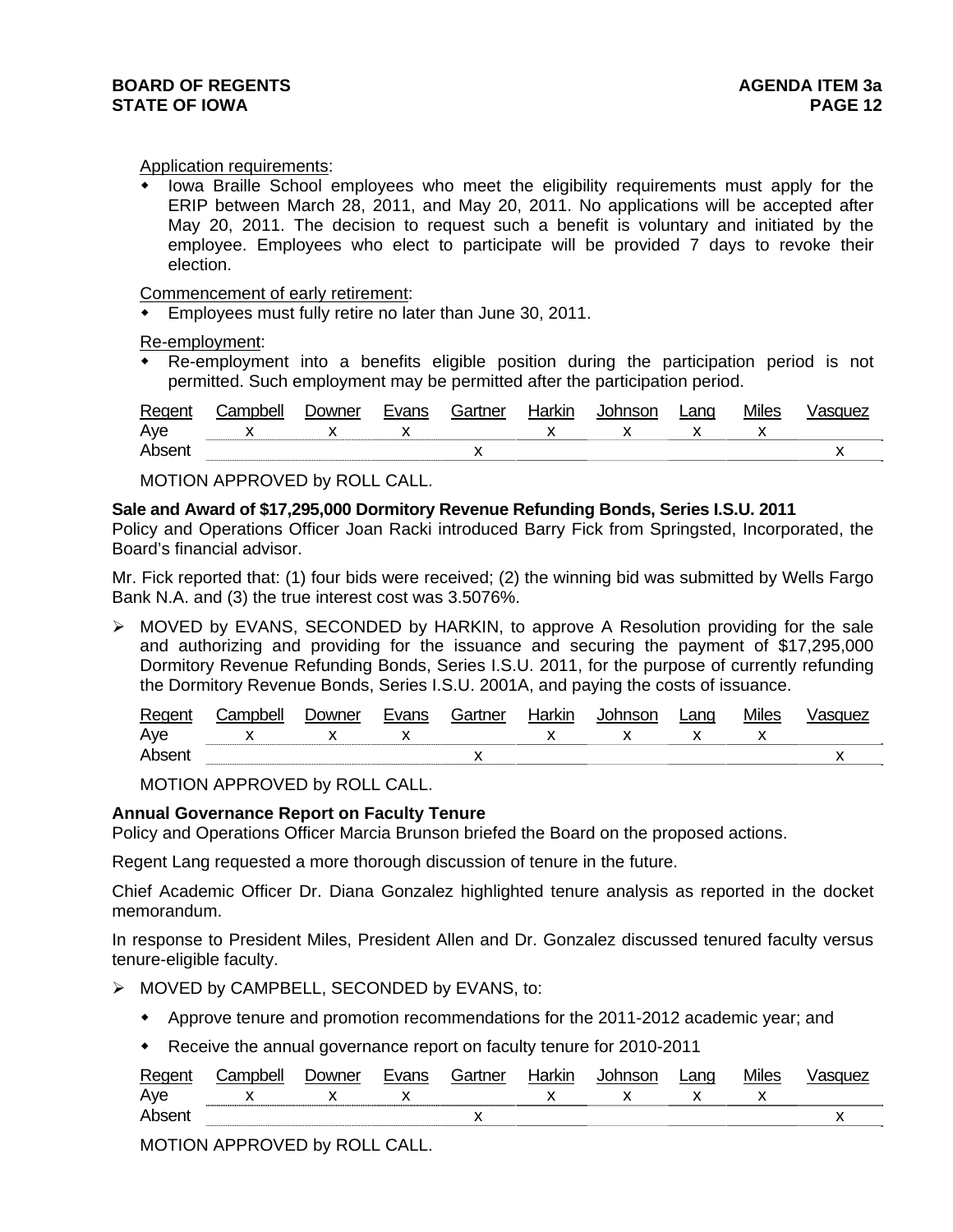#### Application requirements:

 Iowa Braille School employees who meet the eligibility requirements must apply for the ERIP between March 28, 2011, and May 20, 2011. No applications will be accepted after May 20, 2011. The decision to request such a benefit is voluntary and initiated by the employee. Employees who elect to participate will be provided 7 days to revoke their election.

Commencement of early retirement:

Employees must fully retire no later than June 30, 2011.

Re-employment:

 Re-employment into a benefits eligible position during the participation period is not permitted. Such employment may be permitted after the participation period.

| Regen | <b>Campbell</b> | ⊃owner | Evans | Gartner | Harkır | Johnson | ∟ano | Miles | 'sauez |
|-------|-----------------|--------|-------|---------|--------|---------|------|-------|--------|
| Aye   |                 |        |       |         |        |         |      |       |        |
| Ahser |                 |        |       | "       |        |         |      |       | "      |

MOTION APPROVED by ROLL CALL.

## **Sale and Award of \$17,295,000 Dormitory Revenue Refunding Bonds, Series I.S.U. 2011**

Policy and Operations Officer Joan Racki introduced Barry Fick from Springsted, Incorporated, the Board's financial advisor.

Mr. Fick reported that: (1) four bids were received; (2) the winning bid was submitted by Wells Fargo Bank N.A. and (3) the true interest cost was 3.5076%.

 $\triangleright$  MOVED by EVANS, SECONDED by HARKIN, to approve A Resolution providing for the sale and authorizing and providing for the issuance and securing the payment of \$17,295,000 Dormitory Revenue Refunding Bonds, Series I.S.U. 2011, for the purpose of currently refunding the Dormitory Revenue Bonds, Series I.S.U. 2001A, and paying the costs of issuance.

| RAOL. | owner | nnc | . ⊰artner i | . | ∟ano |                          |
|-------|-------|-----|-------------|---|------|--------------------------|
| Aye   |       |     |             |   |      |                          |
| Δr    |       |     | . .         |   |      | $\overline{\phantom{a}}$ |

MOTION APPROVED by ROLL CALL.

# **Annual Governance Report on Faculty Tenure**

Policy and Operations Officer Marcia Brunson briefed the Board on the proposed actions.

Regent Lang requested a more thorough discussion of tenure in the future.

Chief Academic Officer Dr. Diana Gonzalez highlighted tenure analysis as reported in the docket memorandum.

In response to President Miles, President Allen and Dr. Gonzalez discussed tenured faculty versus tenure-eligible faculty.

- > MOVED by CAMPBELL, SECONDED by EVANS, to:
	- Approve tenure and promotion recommendations for the 2011-2012 academic year; and
	- Receive the annual governance report on faculty tenure for 2010-2011

| -<br>R∆ | wwn≏r<br>w | $\sim$ | <u>—</u><br>nor | 1<br>IМI | `∩r. | Lano | טשווע |                          |
|---------|------------|--------|-----------------|----------|------|------|-------|--------------------------|
| Aye     |            |        |                 |          |      |      |       |                          |
|         |            |        |                 |          |      |      |       | $\overline{\phantom{a}}$ |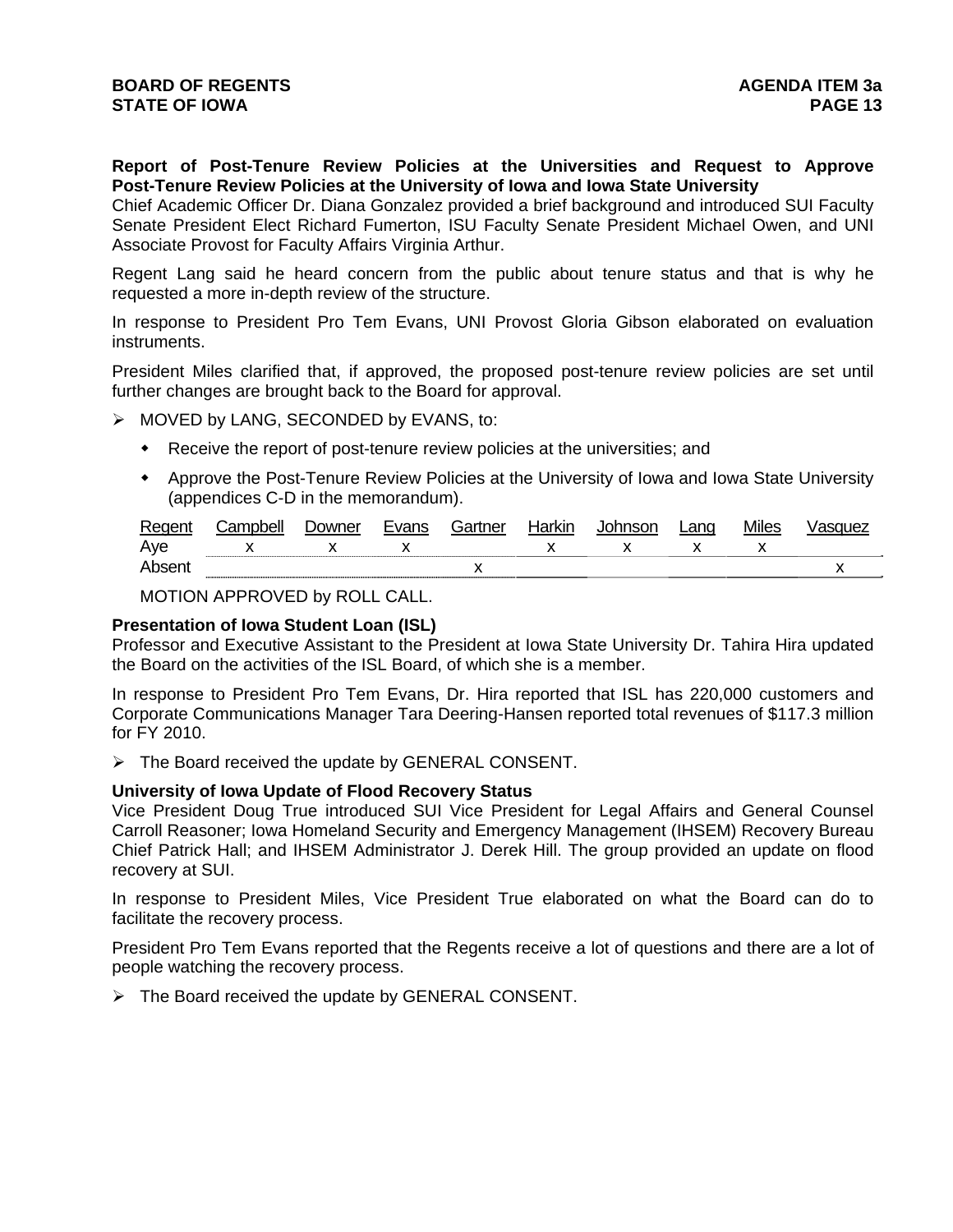**Report of Post-Tenure Review Policies at the Universities and Request to Approve Post-Tenure Review Policies at the University of Iowa and Iowa State University** 

Chief Academic Officer Dr. Diana Gonzalez provided a brief background and introduced SUI Faculty Senate President Elect Richard Fumerton, ISU Faculty Senate President Michael Owen, and UNI Associate Provost for Faculty Affairs Virginia Arthur.

Regent Lang said he heard concern from the public about tenure status and that is why he requested a more in-depth review of the structure.

In response to President Pro Tem Evans, UNI Provost Gloria Gibson elaborated on evaluation instruments.

President Miles clarified that, if approved, the proposed post-tenure review policies are set until further changes are brought back to the Board for approval.

MOVED by LANG, SECONDED by EVANS, to:

- Receive the report of post-tenure review policies at the universities; and
- Approve the Post-Tenure Review Policies at the University of Iowa and Iowa State University (appendices C-D in the memorandum).

| Regent | Campbell | ⊃owner | Evans | Gartner | Harkin | Johnson | Lang | <b>Miles</b> | asauez |
|--------|----------|--------|-------|---------|--------|---------|------|--------------|--------|
| Ave    |          |        |       |         |        |         |      |              |        |
| Absen. |          |        |       |         |        |         |      |              |        |

MOTION APPROVED by ROLL CALL.

## **Presentation of Iowa Student Loan (ISL)**

Professor and Executive Assistant to the President at Iowa State University Dr. Tahira Hira updated the Board on the activities of the ISL Board, of which she is a member.

In response to President Pro Tem Evans, Dr. Hira reported that ISL has 220,000 customers and Corporate Communications Manager Tara Deering-Hansen reported total revenues of \$117.3 million for FY 2010.

 $\triangleright$  The Board received the update by GENERAL CONSENT.

#### **University of Iowa Update of Flood Recovery Status**

Vice President Doug True introduced SUI Vice President for Legal Affairs and General Counsel Carroll Reasoner; Iowa Homeland Security and Emergency Management (IHSEM) Recovery Bureau Chief Patrick Hall; and IHSEM Administrator J. Derek Hill. The group provided an update on flood recovery at SUI.

In response to President Miles, Vice President True elaborated on what the Board can do to facilitate the recovery process.

President Pro Tem Evans reported that the Regents receive a lot of questions and there are a lot of people watching the recovery process.

 $\triangleright$  The Board received the update by GENERAL CONSENT.